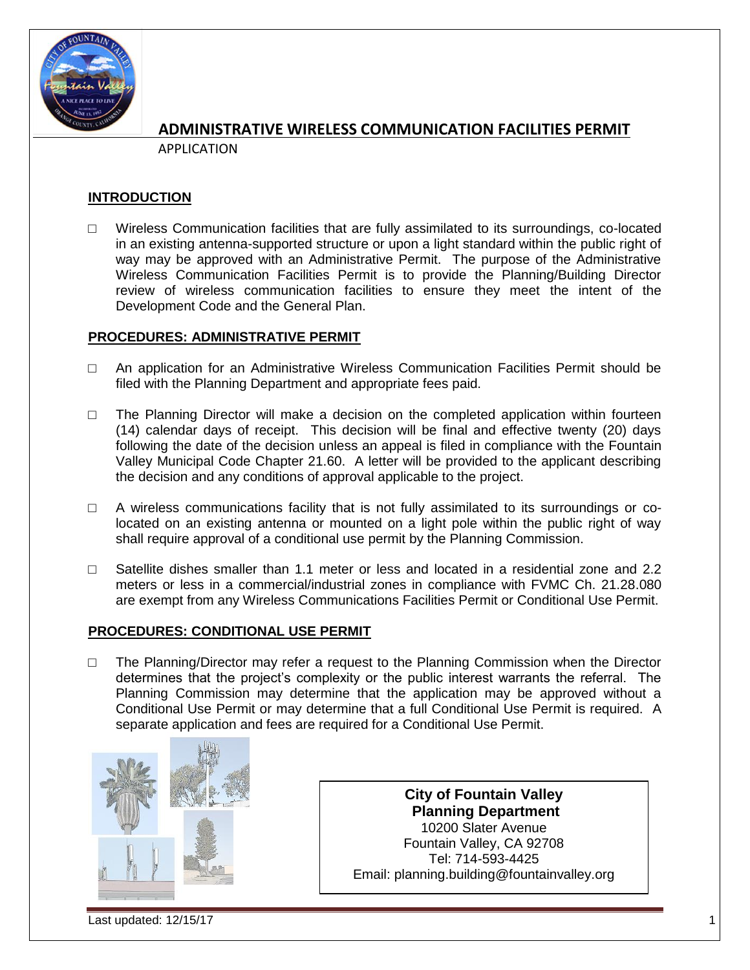

APPLICATION

## **INTRODUCTION**

 $\Box$  Wireless Communication facilities that are fully assimilated to its surroundings, co-located in an existing antenna-supported structure or upon a light standard within the public right of way may be approved with an Administrative Permit. The purpose of the Administrative Wireless Communication Facilities Permit is to provide the Planning/Building Director review of wireless communication facilities to ensure they meet the intent of the Development Code and the General Plan.

## **PROCEDURES: ADMINISTRATIVE PERMIT**

- □ An application for an Administrative Wireless Communication Facilities Permit should be filed with the Planning Department and appropriate fees paid.
- $\Box$  The Planning Director will make a decision on the completed application within fourteen (14) calendar days of receipt. This decision will be final and effective twenty (20) days following the date of the decision unless an appeal is filed in compliance with the Fountain Valley Municipal Code Chapter 21.60. A letter will be provided to the applicant describing the decision and any conditions of approval applicable to the project.
- $\Box$  A wireless communications facility that is not fully assimilated to its surroundings or colocated on an existing antenna or mounted on a light pole within the public right of way shall require approval of a conditional use permit by the Planning Commission.
- □ Satellite dishes smaller than 1.1 meter or less and located in a residential zone and 2.2 meters or less in a commercial/industrial zones in compliance with FVMC Ch. 21.28.080 are exempt from any Wireless Communications Facilities Permit or Conditional Use Permit.

### **PROCEDURES: CONDITIONAL USE PERMIT**

 $\Box$  The Planning/Director may refer a request to the Planning Commission when the Director determines that the project's complexity or the public interest warrants the referral. The Planning Commission may determine that the application may be approved without a Conditional Use Permit or may determine that a full Conditional Use Permit is required. A separate application and fees are required for a Conditional Use Permit.



**City of Fountain Valley Planning Department** 10200 Slater Avenue Fountain Valley, CA 92708 Tel: 714-593-4425 Email: planning.building@fountainvalley.org

Last updated: 12/15/17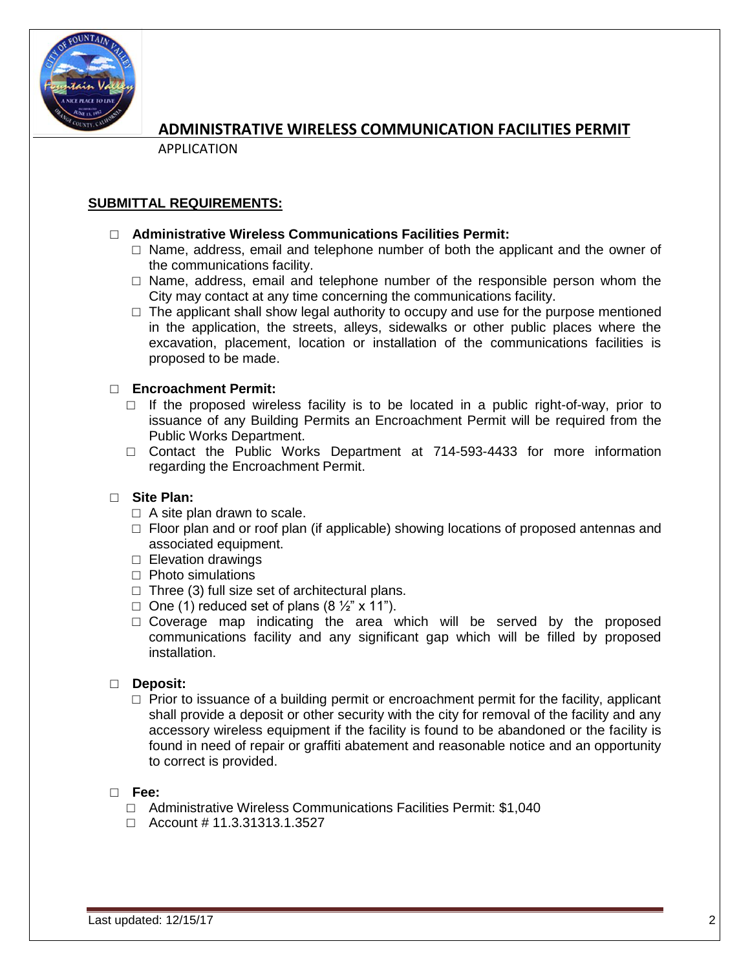

APPLICATION

### **SUBMITTAL REQUIREMENTS:**

### □ **Administrative Wireless Communications Facilities Permit:**

- $\Box$  Name, address, email and telephone number of both the applicant and the owner of the communications facility.
- $\square$  Name, address, email and telephone number of the responsible person whom the City may contact at any time concerning the communications facility.
- $\Box$  The applicant shall show legal authority to occupy and use for the purpose mentioned in the application, the streets, alleys, sidewalks or other public places where the excavation, placement, location or installation of the communications facilities is proposed to be made.

### □ **Encroachment Permit:**

- $\Box$  If the proposed wireless facility is to be located in a public right-of-way, prior to issuance of any Building Permits an Encroachment Permit will be required from the Public Works Department.
- □ Contact the Public Works Department at 714-593-4433 for more information regarding the Encroachment Permit.

### □ **Site Plan:**

- $\Box$  A site plan drawn to scale.
- $\Box$  Floor plan and or roof plan (if applicable) showing locations of proposed antennas and associated equipment.
- □ Elevation drawings
- □ Photo simulations
- $\Box$  Three (3) full size set of architectural plans.
- $\Box$  One (1) reduced set of plans (8  $\frac{1}{2}$ " x 11").
- $\Box$  Coverage map indicating the area which will be served by the proposed communications facility and any significant gap which will be filled by proposed installation.

#### □ **Deposit:**

 $\square$  Prior to issuance of a building permit or encroachment permit for the facility, applicant shall provide a deposit or other security with the city for removal of the facility and any accessory wireless equipment if the facility is found to be abandoned or the facility is found in need of repair or graffiti abatement and reasonable notice and an opportunity to correct is provided.

#### □ **Fee:**

- □ Administrative Wireless Communications Facilities Permit: \$1,040
- □ Account # 11.3.31313.1.3527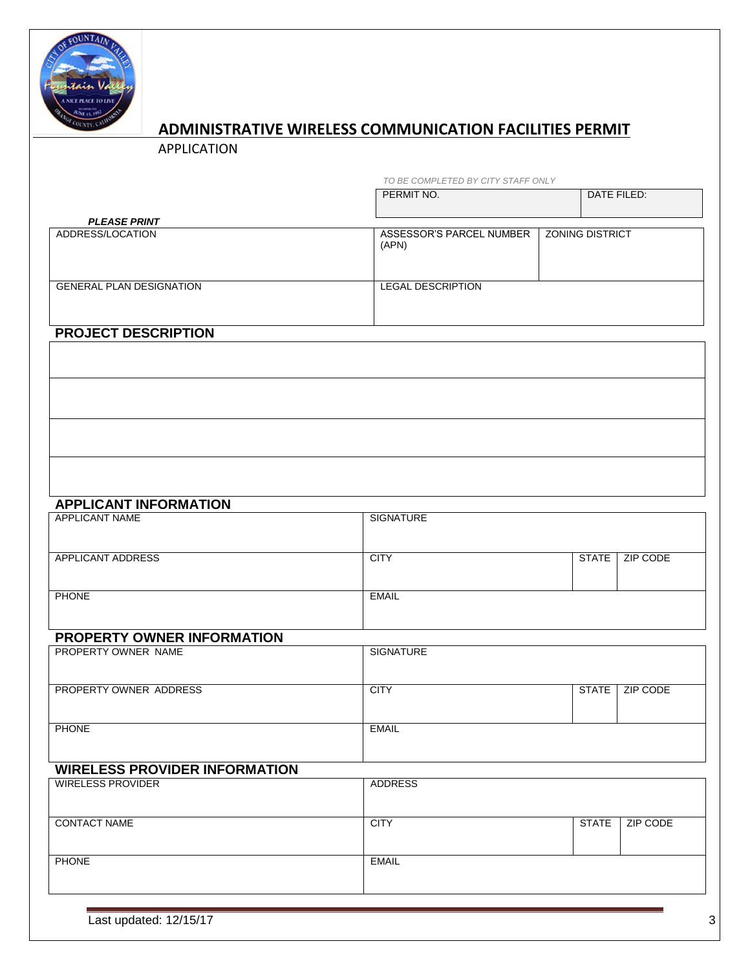

APPLICATION

| TO BE COMPLETED BY CITY STAFF ONLY |  |  |
|------------------------------------|--|--|

PERMIT NO. DATE FILED:

| <b>PLEASE PRINT</b>             |                                   |                        |  |
|---------------------------------|-----------------------------------|------------------------|--|
| ADDRESS/LOCATION                | ASSESSOR'S PARCEL NUMBER<br>(APN) | <b>ZONING DISTRICT</b> |  |
| <b>GENERAL PLAN DESIGNATION</b> | <b>LEGAL DESCRIPTION</b>          |                        |  |

# **PROJECT DESCRIPTION**

# **APPLICANT INFORMATION**

| APPLICANT NAME    | SIGNATURE   |              |          |
|-------------------|-------------|--------------|----------|
| APPLICANT ADDRESS | <b>CITY</b> | <b>STATE</b> | ZIP CODE |
| <b>PHONE</b>      | EMAIL       |              |          |

# **PROPERTY OWNER INFORMATION**

| PROPERTY OWNER NAME    | SIGNATURE    |       |          |
|------------------------|--------------|-------|----------|
|                        |              |       |          |
| PROPERTY OWNER ADDRESS | <b>CITY</b>  | STATE | ZIP CODE |
| <b>PHONE</b>           | <b>EMAIL</b> |       |          |

# **WIRELESS PROVIDER INFORMATION**

| WIRELESS PROVIDER   | ADDRESS      |              |          |
|---------------------|--------------|--------------|----------|
| <b>CONTACT NAME</b> | <b>CITY</b>  | <b>STATE</b> | ZIP CODE |
| <b>PHONE</b>        | <b>EMAIL</b> |              |          |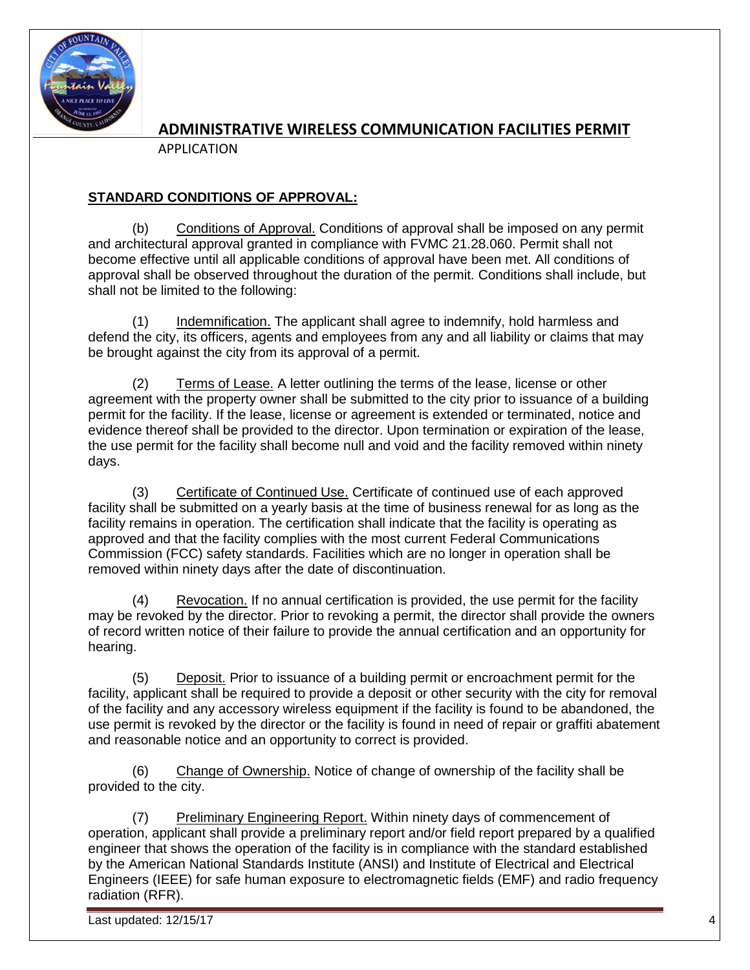

APPLICATION

# **STANDARD CONDITIONS OF APPROVAL:**

(b) Conditions of Approval. Conditions of approval shall be imposed on any permit and architectural approval granted in compliance with FVMC 21.28.060. Permit shall not become effective until all applicable conditions of approval have been met. All conditions of approval shall be observed throughout the duration of the permit. Conditions shall include, but shall not be limited to the following:

(1) Indemnification. The applicant shall agree to indemnify, hold harmless and defend the city, its officers, agents and employees from any and all liability or claims that may be brought against the city from its approval of a permit.

(2) Terms of Lease. A letter outlining the terms of the lease, license or other agreement with the property owner shall be submitted to the city prior to issuance of a building permit for the facility. If the lease, license or agreement is extended or terminated, notice and evidence thereof shall be provided to the director. Upon termination or expiration of the lease, the use permit for the facility shall become null and void and the facility removed within ninety days.

(3) Certificate of Continued Use. Certificate of continued use of each approved facility shall be submitted on a yearly basis at the time of business renewal for as long as the facility remains in operation. The certification shall indicate that the facility is operating as approved and that the facility complies with the most current Federal Communications Commission (FCC) safety standards. Facilities which are no longer in operation shall be removed within ninety days after the date of discontinuation.

(4) Revocation. If no annual certification is provided, the use permit for the facility may be revoked by the director. Prior to revoking a permit, the director shall provide the owners of record written notice of their failure to provide the annual certification and an opportunity for hearing.

(5) Deposit. Prior to issuance of a building permit or encroachment permit for the facility, applicant shall be required to provide a deposit or other security with the city for removal of the facility and any accessory wireless equipment if the facility is found to be abandoned, the use permit is revoked by the director or the facility is found in need of repair or graffiti abatement and reasonable notice and an opportunity to correct is provided.

(6) Change of Ownership. Notice of change of ownership of the facility shall be provided to the city.

(7) Preliminary Engineering Report. Within ninety days of commencement of operation, applicant shall provide a preliminary report and/or field report prepared by a qualified engineer that shows the operation of the facility is in compliance with the standard established by the American National Standards Institute (ANSI) and Institute of Electrical and Electrical Engineers (IEEE) for safe human exposure to electromagnetic fields (EMF) and radio frequency radiation (RFR).